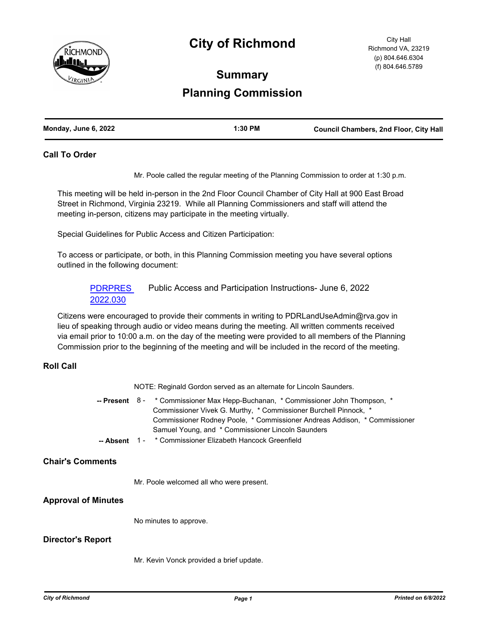

# **City of Richmond**

City Hall Richmond VA, 23219 (p) 804.646.6304 (f) 804.646.5789

# **Summary Planning Commission**

| Monday, June 6, 2022 | $1:30$ PM | <b>Council Chambers, 2nd Floor, City Hall</b> |
|----------------------|-----------|-----------------------------------------------|
|                      |           |                                               |

#### **Call To Order**

Mr. Poole called the regular meeting of the Planning Commission to order at 1:30 p.m.

This meeting will be held in-person in the 2nd Floor Council Chamber of City Hall at 900 East Broad Street in Richmond, Virginia 23219. While all Planning Commissioners and staff will attend the meeting in-person, citizens may participate in the meeting virtually.

Special Guidelines for Public Access and Citizen Participation:

To access or participate, or both, in this Planning Commission meeting you have several options outlined in the following document:

[PDRPRES](http://richmondva.legistar.com/gateway.aspx?m=l&id=/matter.aspx?key=32252)  2022.030 Public Access and Participation Instructions- June 6, 2022

Citizens were encouraged to provide their comments in writing to PDRLandUseAdmin@rva.gov in lieu of speaking through audio or video means during the meeting. All written comments received via email prior to 10:00 a.m. on the day of the meeting were provided to all members of the Planning Commission prior to the beginning of the meeting and will be included in the record of the meeting.

### **Roll Call**

NOTE: Reginald Gordon served as an alternate for Lincoln Saunders.

-- Present 8 - \* Commissioner Max Hepp-Buchanan, \* Commissioner John Thompson, \* Commissioner Vivek G. Murthy, \* Commissioner Burchell Pinnock, \* Commissioner Rodney Poole, \* Commissioner Andreas Addison, \* Commissioner Samuel Young, and \* Commissioner Lincoln Saunders

 **-- Absent** 1 - \* Commissioner Elizabeth Hancock Greenfield

# **Chair's Comments**

Mr. Poole welcomed all who were present.

### **Approval of Minutes**

No minutes to approve.

### **Director's Report**

Mr. Kevin Vonck provided a brief update.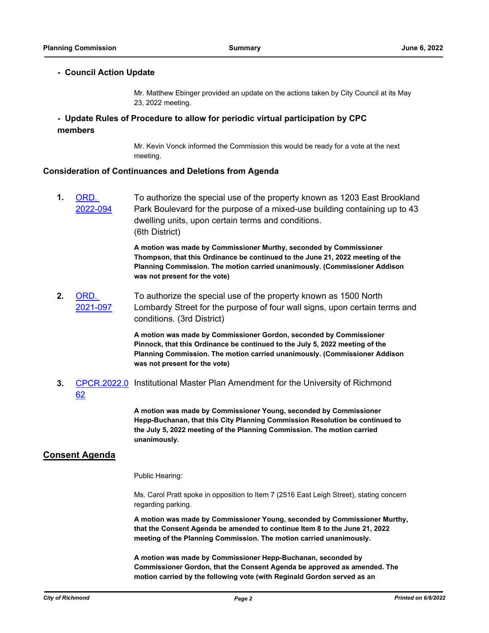# **- Council Action Update**

Mr. Matthew Ebinger provided an update on the actions taken by City Council at its May 23, 2022 meeting.

# **- Update Rules of Procedure to allow for periodic virtual participation by CPC members**

Mr. Kevin Vonck informed the Commission this would be ready for a vote at the next meeting.

## **Consideration of Continuances and Deletions from Agenda**

**1.** ORD. [2022-094](http://richmondva.legistar.com/gateway.aspx?m=l&id=/matter.aspx?key=31634) To authorize the special use of the property known as 1203 East Brookland Park Boulevard for the purpose of a mixed-use building containing up to 43 dwelling units, upon certain terms and conditions. (6th District)

> **A motion was made by Commissioner Murthy, seconded by Commissioner Thompson, that this Ordinance be continued to the June 21, 2022 meeting of the Planning Commission. The motion carried unanimously. (Commissioner Addison was not present for the vote)**

**2.** ORD. [2021-097](http://richmondva.legistar.com/gateway.aspx?m=l&id=/matter.aspx?key=29047) To authorize the special use of the property known as 1500 North Lombardy Street for the purpose of four wall signs, upon certain terms and conditions. (3rd District)

> **A motion was made by Commissioner Gordon, seconded by Commissioner Pinnock, that this Ordinance be continued to the July 5, 2022 meeting of the Planning Commission. The motion carried unanimously. (Commissioner Addison was not present for the vote)**

3. [CPCR.2022.0](http://richmondva.legistar.com/gateway.aspx?m=l&id=/matter.aspx?key=32233) Institutional Master Plan Amendment for the University of Richmond 62

> **A motion was made by Commissioner Young, seconded by Commissioner Hepp-Buchanan, that this City Planning Commission Resolution be continued to the July 5, 2022 meeting of the Planning Commission. The motion carried unanimously.**

# **Consent Agenda**

Public Hearing:

Ms. Carol Pratt spoke in opposition to Item 7 (2516 East Leigh Street), stating concern regarding parking.

**A motion was made by Commissioner Young, seconded by Commissioner Murthy, that the Consent Agenda be amended to continue Item 8 to the June 21, 2022 meeting of the Planning Commission. The motion carried unanimously.** 

**A motion was made by Commissioner Hepp-Buchanan, seconded by Commissioner Gordon, that the Consent Agenda be approved as amended. The motion carried by the following vote (with Reginald Gordon served as an**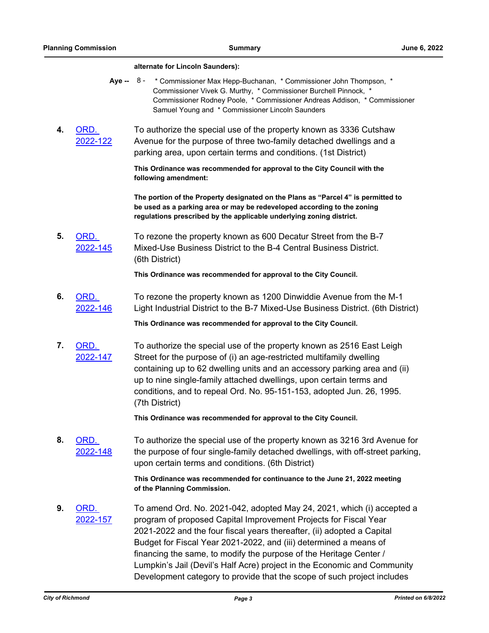#### **alternate for Lincoln Saunders):**

- Aye -- 8 \* Commissioner Max Hepp-Buchanan, \* Commissioner John Thompson, \* Commissioner Vivek G. Murthy, \* Commissioner Burchell Pinnock, \* Commissioner Rodney Poole, \* Commissioner Andreas Addison, \* Commissioner Samuel Young and \* Commissioner Lincoln Saunders
- **4.** ORD. [2022-122](http://richmondva.legistar.com/gateway.aspx?m=l&id=/matter.aspx?key=31832) To authorize the special use of the property known as 3336 Cutshaw Avenue for the purpose of three two-family detached dwellings and a parking area, upon certain terms and conditions. (1st District)

**This Ordinance was recommended for approval to the City Council with the following amendment:** 

**The portion of the Property designated on the Plans as "Parcel 4" is permitted to be used as a parking area or may be redeveloped according to the zoning regulations prescribed by the applicable underlying zoning district.**

**5.** ORD. [2022-145](http://richmondva.legistar.com/gateway.aspx?m=l&id=/matter.aspx?key=31900) To rezone the property known as 600 Decatur Street from the B-7 Mixed-Use Business District to the B-4 Central Business District. (6th District)

**This Ordinance was recommended for approval to the City Council.**

**6.** ORD. [2022-146](http://richmondva.legistar.com/gateway.aspx?m=l&id=/matter.aspx?key=31961) To rezone the property known as 1200 Dinwiddie Avenue from the M-1 Light Industrial District to the B-7 Mixed-Use Business District. (6th District)

**This Ordinance was recommended for approval to the City Council.**

**7.** ORD. [2022-147](http://richmondva.legistar.com/gateway.aspx?m=l&id=/matter.aspx?key=31806) To authorize the special use of the property known as 2516 East Leigh Street for the purpose of (i) an age-restricted multifamily dwelling containing up to 62 dwelling units and an accessory parking area and (ii) up to nine single-family attached dwellings, upon certain terms and conditions, and to repeal Ord. No. 95-151-153, adopted Jun. 26, 1995. (7th District)

**This Ordinance was recommended for approval to the City Council.**

**8.** ORD. [2022-148](http://richmondva.legistar.com/gateway.aspx?m=l&id=/matter.aspx?key=31728) To authorize the special use of the property known as 3216 3rd Avenue for the purpose of four single-family detached dwellings, with off-street parking, upon certain terms and conditions. (6th District)

> **This Ordinance was recommended for continuance to the June 21, 2022 meeting of the Planning Commission.**

**9.** ORD. [2022-157](http://richmondva.legistar.com/gateway.aspx?m=l&id=/matter.aspx?key=32190) To amend Ord. No. 2021-042, adopted May 24, 2021, which (i) accepted a program of proposed Capital Improvement Projects for Fiscal Year 2021-2022 and the four fiscal years thereafter, (ii) adopted a Capital Budget for Fiscal Year 2021-2022, and (iii) determined a means of financing the same, to modify the purpose of the Heritage Center / Lumpkin's Jail (Devil's Half Acre) project in the Economic and Community Development category to provide that the scope of such project includes